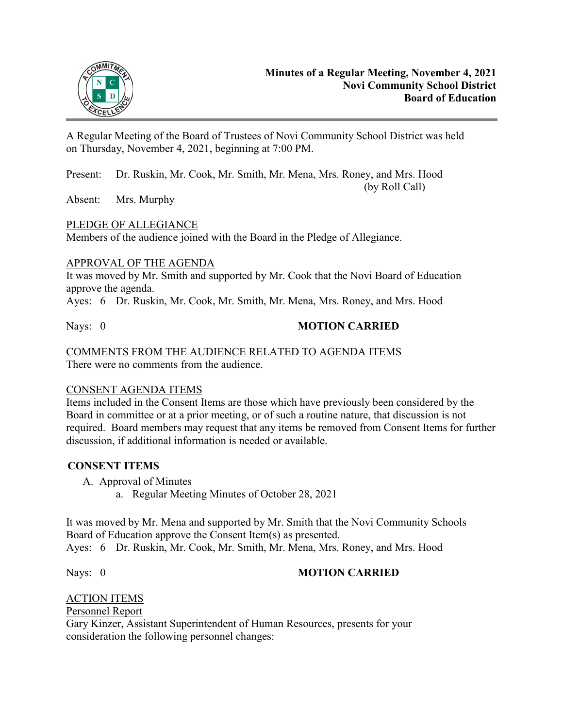

A Regular Meeting of the Board of Trustees of Novi Community School District was held on Thursday, November 4, 2021, beginning at 7:00 PM.

Present: Dr. Ruskin, Mr. Cook, Mr. Smith, Mr. Mena, Mrs. Roney, and Mrs. Hood (by Roll Call)

Absent: Mrs. Murphy

## PLEDGE OF ALLEGIANCE

Members of the audience joined with the Board in the Pledge of Allegiance.

### APPROVAL OF THE AGENDA

It was moved by Mr. Smith and supported by Mr. Cook that the Novi Board of Education approve the agenda.

Ayes: 6 Dr. Ruskin, Mr. Cook, Mr. Smith, Mr. Mena, Mrs. Roney, and Mrs. Hood

## Nays: 0 **MOTION CARRIED**

#### COMMENTS FROM THE AUDIENCE RELATED TO AGENDA ITEMS There were no comments from the audience.

### CONSENT AGENDA ITEMS

Items included in the Consent Items are those which have previously been considered by the Board in committee or at a prior meeting, or of such a routine nature, that discussion is not required. Board members may request that any items be removed from Consent Items for further discussion, if additional information is needed or available.

## **CONSENT ITEMS**

- A. Approval of Minutes
	- a. Regular Meeting Minutes of October 28, 2021

It was moved by Mr. Mena and supported by Mr. Smith that the Novi Community Schools Board of Education approve the Consent Item(s) as presented. Ayes: 6 Dr. Ruskin, Mr. Cook, Mr. Smith, Mr. Mena, Mrs. Roney, and Mrs. Hood

## Nays: 0 **MOTION CARRIED**

# ACTION ITEMS

Personnel Report

Gary Kinzer, Assistant Superintendent of Human Resources, presents for your consideration the following personnel changes: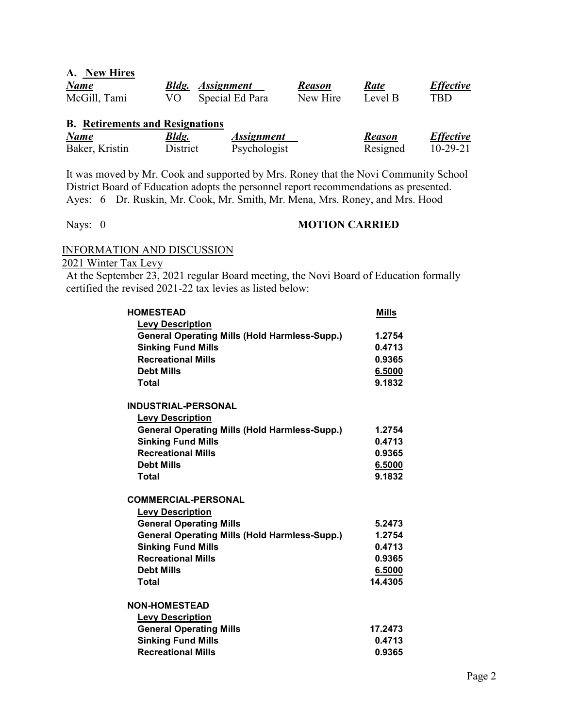| A. New Hires |    |                         |               |             |                  |
|--------------|----|-------------------------|---------------|-------------|------------------|
| <b>Name</b>  |    | <b>Bldg.</b> Assignment | <b>Reason</b> | <b>Rate</b> | <b>Effective</b> |
| McGill, Tami | VO | Special Ed Para         | New Hire      | Level B     | TBD              |

# **B. Retirements and Resignations**

| <b>Name</b>    | <u>Bldg.</u> | <i>Assignment</i> | Reason   | <b>Effective</b> |
|----------------|--------------|-------------------|----------|------------------|
| Baker, Kristin | District     | Psychologist      | Resigned | $10 - 29 - 21$   |

It was moved by Mr. Cook and supported by Mrs. Roney that the Novi Community School District Board of Education adopts the personnel report recommendations as presented. Ayes: 6 Dr. Ruskin, Mr. Cook, Mr. Smith, Mr. Mena, Mrs. Roney, and Mrs. Hood

### Nays: 0 **MOTION CARRIED**

## INFORMATION AND DISCUSSION

2021 Winter Tax Levy

At the September 23, 2021 regular Board meeting, the Novi Board of Education formally certified the revised 2021-22 tax levies as listed below:

| <b>HOMESTEAD</b>                                     | <b>Mills</b> |
|------------------------------------------------------|--------------|
| <b>Levy Description</b>                              |              |
| <b>General Operating Mills (Hold Harmless-Supp.)</b> | 1.2754       |
| <b>Sinking Fund Mills</b>                            | 0.4713       |
| <b>Recreational Mills</b>                            | 0.9365       |
| <b>Debt Mills</b>                                    | 6.5000       |
| Total                                                | 9.1832       |
| <b>INDUSTRIAL-PERSONAL</b>                           |              |
| <b>Levy Description</b>                              |              |
| <b>General Operating Mills (Hold Harmless-Supp.)</b> | 1.2754       |
| <b>Sinking Fund Mills</b>                            | 0.4713       |
| <b>Recreational Mills</b>                            | 0.9365       |
| <b>Debt Mills</b>                                    | 6.5000       |
| Total                                                | 9.1832       |
| <b>COMMERCIAL-PERSONAL</b>                           |              |
| <b>Levy Description</b>                              |              |
| <b>General Operating Mills</b>                       | 5.2473       |
| <b>General Operating Mills (Hold Harmless-Supp.)</b> | 1.2754       |
| <b>Sinking Fund Mills</b>                            | 0.4713       |
| <b>Recreational Mills</b>                            | 0.9365       |
| <b>Debt Mills</b>                                    | 6.5000       |
| Total                                                | 14.4305      |
| <b>NON-HOMESTEAD</b>                                 |              |
| <b>Levy Description</b>                              |              |
| <b>General Operating Mills</b>                       | 17.2473      |
| <b>Sinking Fund Mills</b>                            | 0.4713       |
| <b>Recreational Mills</b>                            | 0.9365       |
|                                                      |              |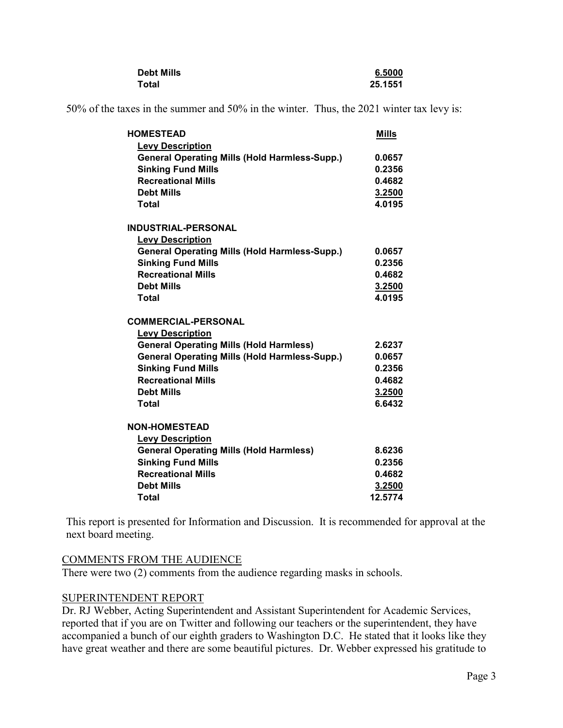| <b>Debt Mills</b> | 6.5000  |
|-------------------|---------|
| Total             | 25.1551 |

50% of the taxes in the summer and 50% in the winter. Thus, the 2021 winter tax levy is:

| <b>HOMESTEAD</b>                                     | <b>Mills</b> |
|------------------------------------------------------|--------------|
| <b>Levy Description</b>                              |              |
| <b>General Operating Mills (Hold Harmless-Supp.)</b> | 0.0657       |
| <b>Sinking Fund Mills</b>                            | 0.2356       |
| <b>Recreational Mills</b>                            | 0.4682       |
| <b>Debt Mills</b>                                    | 3.2500       |
| <b>Total</b>                                         | 4.0195       |
| <b>INDUSTRIAL-PERSONAL</b>                           |              |
| <b>Levy Description</b>                              |              |
| <b>General Operating Mills (Hold Harmless-Supp.)</b> | 0.0657       |
| <b>Sinking Fund Mills</b>                            | 0.2356       |
| <b>Recreational Mills</b>                            | 0.4682       |
| <b>Debt Mills</b>                                    | 3.2500       |
| Total                                                | 4.0195       |
| <b>COMMERCIAL-PERSONAL</b>                           |              |
| <b>Levy Description</b>                              |              |
| <b>General Operating Mills (Hold Harmless)</b>       | 2.6237       |
| <b>General Operating Mills (Hold Harmless-Supp.)</b> | 0.0657       |
| <b>Sinking Fund Mills</b>                            | 0.2356       |
| <b>Recreational Mills</b>                            | 0.4682       |
| <b>Debt Mills</b>                                    | 3.2500       |
| Total                                                | 6.6432       |
| <b>NON-HOMESTEAD</b>                                 |              |
| <b>Levy Description</b>                              |              |
| <b>General Operating Mills (Hold Harmless)</b>       | 8.6236       |
| <b>Sinking Fund Mills</b>                            | 0.2356       |
| <b>Recreational Mills</b>                            | 0.4682       |
| <b>Debt Mills</b>                                    | 3.2500       |
| Total                                                | 12.5774      |

This report is presented for Information and Discussion. It is recommended for approval at the next board meeting.

### COMMENTS FROM THE AUDIENCE

There were two (2) comments from the audience regarding masks in schools.

## SUPERINTENDENT REPORT

Dr. RJ Webber, Acting Superintendent and Assistant Superintendent for Academic Services, reported that if you are on Twitter and following our teachers or the superintendent, they have accompanied a bunch of our eighth graders to Washington D.C. He stated that it looks like they have great weather and there are some beautiful pictures. Dr. Webber expressed his gratitude to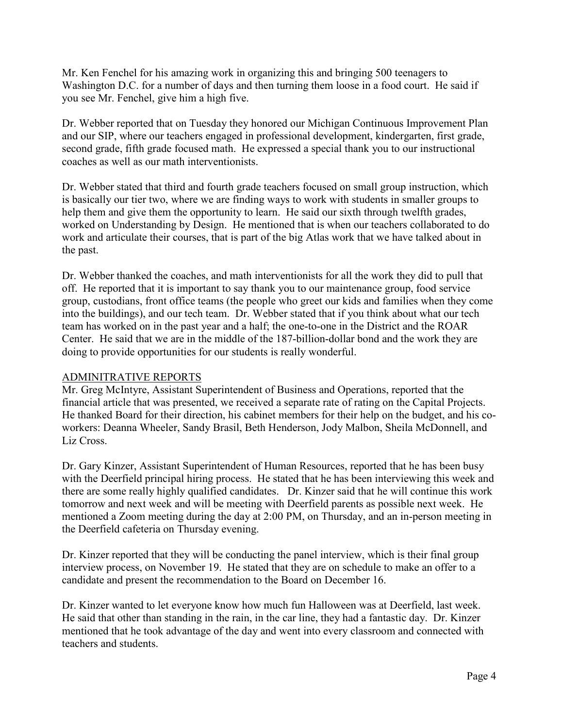Mr. Ken Fenchel for his amazing work in organizing this and bringing 500 teenagers to Washington D.C. for a number of days and then turning them loose in a food court. He said if you see Mr. Fenchel, give him a high five.

Dr. Webber reported that on Tuesday they honored our Michigan Continuous Improvement Plan and our SIP, where our teachers engaged in professional development, kindergarten, first grade, second grade, fifth grade focused math. He expressed a special thank you to our instructional coaches as well as our math interventionists.

Dr. Webber stated that third and fourth grade teachers focused on small group instruction, which is basically our tier two, where we are finding ways to work with students in smaller groups to help them and give them the opportunity to learn. He said our sixth through twelfth grades, worked on Understanding by Design. He mentioned that is when our teachers collaborated to do work and articulate their courses, that is part of the big Atlas work that we have talked about in the past.

Dr. Webber thanked the coaches, and math interventionists for all the work they did to pull that off. He reported that it is important to say thank you to our maintenance group, food service group, custodians, front office teams (the people who greet our kids and families when they come into the buildings), and our tech team. Dr. Webber stated that if you think about what our tech team has worked on in the past year and a half; the one-to-one in the District and the ROAR Center. He said that we are in the middle of the 187-billion-dollar bond and the work they are doing to provide opportunities for our students is really wonderful.

### ADMINITRATIVE REPORTS

Mr. Greg McIntyre, Assistant Superintendent of Business and Operations, reported that the financial article that was presented, we received a separate rate of rating on the Capital Projects. He thanked Board for their direction, his cabinet members for their help on the budget, and his coworkers: Deanna Wheeler, Sandy Brasil, Beth Henderson, Jody Malbon, Sheila McDonnell, and Liz Cross.

Dr. Gary Kinzer, Assistant Superintendent of Human Resources, reported that he has been busy with the Deerfield principal hiring process. He stated that he has been interviewing this week and there are some really highly qualified candidates. Dr. Kinzer said that he will continue this work tomorrow and next week and will be meeting with Deerfield parents as possible next week. He mentioned a Zoom meeting during the day at 2:00 PM, on Thursday, and an in-person meeting in the Deerfield cafeteria on Thursday evening.

Dr. Kinzer reported that they will be conducting the panel interview, which is their final group interview process, on November 19. He stated that they are on schedule to make an offer to a candidate and present the recommendation to the Board on December 16.

Dr. Kinzer wanted to let everyone know how much fun Halloween was at Deerfield, last week. He said that other than standing in the rain, in the car line, they had a fantastic day. Dr. Kinzer mentioned that he took advantage of the day and went into every classroom and connected with teachers and students.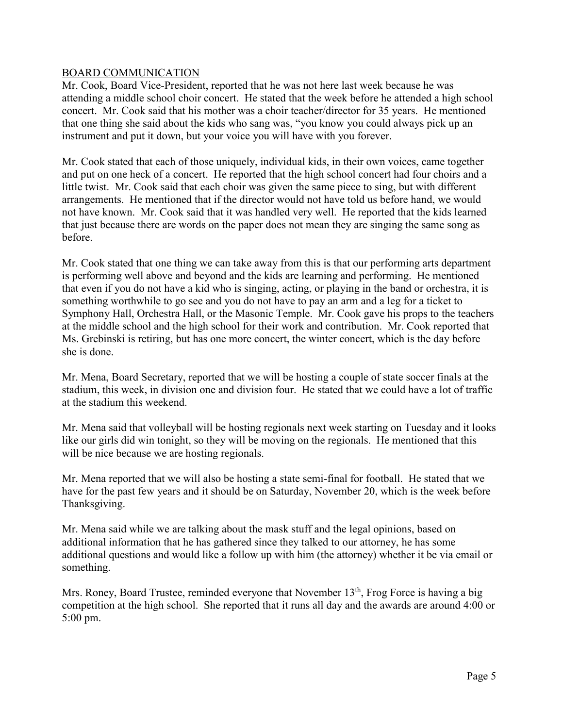### BOARD COMMUNICATION

Mr. Cook, Board Vice-President, reported that he was not here last week because he was attending a middle school choir concert. He stated that the week before he attended a high school concert. Mr. Cook said that his mother was a choir teacher/director for 35 years. He mentioned that one thing she said about the kids who sang was, "you know you could always pick up an instrument and put it down, but your voice you will have with you forever.

Mr. Cook stated that each of those uniquely, individual kids, in their own voices, came together and put on one heck of a concert. He reported that the high school concert had four choirs and a little twist. Mr. Cook said that each choir was given the same piece to sing, but with different arrangements. He mentioned that if the director would not have told us before hand, we would not have known. Mr. Cook said that it was handled very well. He reported that the kids learned that just because there are words on the paper does not mean they are singing the same song as before.

Mr. Cook stated that one thing we can take away from this is that our performing arts department is performing well above and beyond and the kids are learning and performing. He mentioned that even if you do not have a kid who is singing, acting, or playing in the band or orchestra, it is something worthwhile to go see and you do not have to pay an arm and a leg for a ticket to Symphony Hall, Orchestra Hall, or the Masonic Temple. Mr. Cook gave his props to the teachers at the middle school and the high school for their work and contribution. Mr. Cook reported that Ms. Grebinski is retiring, but has one more concert, the winter concert, which is the day before she is done.

Mr. Mena, Board Secretary, reported that we will be hosting a couple of state soccer finals at the stadium, this week, in division one and division four. He stated that we could have a lot of traffic at the stadium this weekend.

Mr. Mena said that volleyball will be hosting regionals next week starting on Tuesday and it looks like our girls did win tonight, so they will be moving on the regionals. He mentioned that this will be nice because we are hosting regionals.

Mr. Mena reported that we will also be hosting a state semi-final for football. He stated that we have for the past few years and it should be on Saturday, November 20, which is the week before Thanksgiving.

Mr. Mena said while we are talking about the mask stuff and the legal opinions, based on additional information that he has gathered since they talked to our attorney, he has some additional questions and would like a follow up with him (the attorney) whether it be via email or something.

Mrs. Roney, Board Trustee, reminded everyone that November  $13<sup>th</sup>$ , Frog Force is having a big competition at the high school. She reported that it runs all day and the awards are around 4:00 or 5:00 pm.